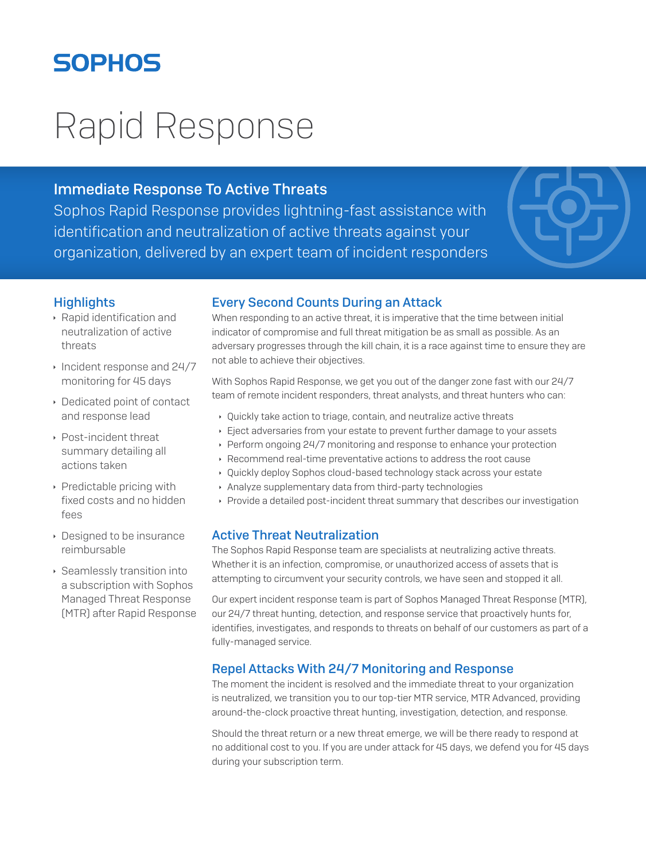# **SOPHOS**

# Rapid Response

# Immediate Response To Active Threats

Sophos Rapid Response provides lightning-fast assistance with identification and neutralization of active threats against your organization, delivered by an expert team of incident responders



### **Highlights**

- $\rightarrow$  Rapid identification and neutralization of active threats
- $\cdot$  Incident response and 24/7 monitoring for 45 days
- **Dedicated point of contact** and response lead
- ▶ Post-incident threat summary detailing all actions taken
- $\rightarrow$  Predictable pricing with fixed costs and no hidden fees
- $\rightarrow$  Designed to be insurance reimbursable
- $\rightarrow$  Seamlessly transition into a subscription with Sophos Managed Threat Response (MTR) after Rapid Response

# Every Second Counts During an Attack

When responding to an active threat, it is imperative that the time between initial indicator of compromise and full threat mitigation be as small as possible. As an adversary progresses through the kill chain, it is a race against time to ensure they are not able to achieve their objectives.

With Sophos Rapid Response, we get you out of the danger zone fast with our 24/7 team of remote incident responders, threat analysts, and threat hunters who can:

- Ì Quickly take action to triage, contain, and neutralize active threats
- Eject adversaries from your estate to prevent further damage to your assets
- ▶ Perform ongoing 24/7 monitoring and response to enhance your protection
- **EXECOMMENT RECOMMENT PROPERTY PROOF IN A RECOMMENT PROPERTY**
- ▶ Quickly deploy Sophos cloud-based technology stack across your estate
- **Analyze supplementary data from third-party technologies**
- **Provide a detailed post-incident threat summary that describes our investigation**

#### Active Threat Neutralization

The Sophos Rapid Response team are specialists at neutralizing active threats. Whether it is an infection, compromise, or unauthorized access of assets that is attempting to circumvent your security controls, we have seen and stopped it all.

Our expert incident response team is part of Sophos Managed Threat Response (MTR), our 24/7 threat hunting, detection, and response service that proactively hunts for, identifies, investigates, and responds to threats on behalf of our customers as part of a fully-managed service.

# Repel Attacks With 24/7 Monitoring and Response

The moment the incident is resolved and the immediate threat to your organization is neutralized, we transition you to our top-tier MTR service, MTR Advanced, providing around-the-clock proactive threat hunting, investigation, detection, and response.

Should the threat return or a new threat emerge, we will be there ready to respond at no additional cost to you. If you are under attack for 45 days, we defend you for 45 days during your subscription term.